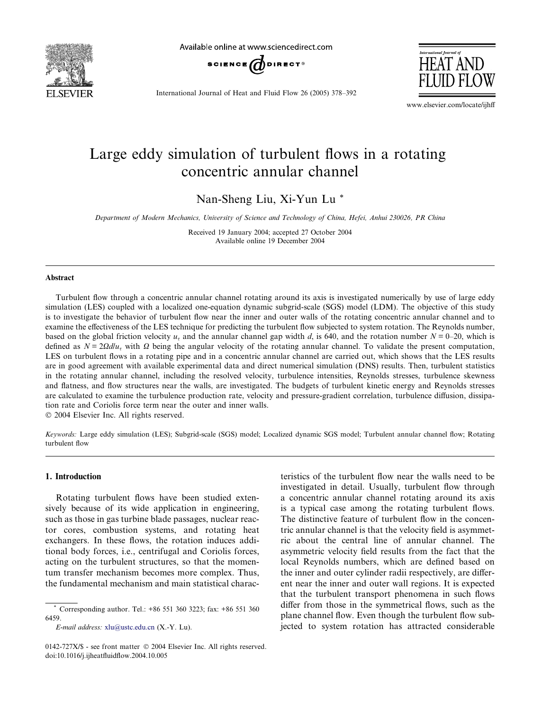

Available online at www.sciencedirect.com





International Journal of Heat and Fluid Flow 26 (2005) 378–392

www.elsevier.com/locate/ijhff

# Large eddy simulation of turbulent flows in a rotating concentric annular channel

Nan-Sheng Liu, Xi-Yun Lu \*

Department of Modern Mechanics, University of Science and Technology of China, Hefei, Anhui 230026, PR China

Received 19 January 2004; accepted 27 October 2004 Available online 19 December 2004

#### Abstract

Turbulent flow through a concentric annular channel rotating around its axis is investigated numerically by use of large eddy simulation (LES) coupled with a localized one-equation dynamic subgrid-scale (SGS) model (LDM). The objective of this study is to investigate the behavior of turbulent flow near the inner and outer walls of the rotating concentric annular channel and to examine the effectiveness of the LES technique for predicting the turbulent flow subjected to system rotation. The Reynolds number, based on the global friction velocity  $u<sub>r</sub>$  and the annular channel gap width d, is 640, and the rotation number  $N = 0$ –20, which is defined as  $N = 2\Omega d / u_{\tau}$  with  $\Omega$  being the angular velocity of the rotating annular channel. To validate the present computation, LES on turbulent flows in a rotating pipe and in a concentric annular channel are carried out, which shows that the LES results are in good agreement with available experimental data and direct numerical simulation (DNS) results. Then, turbulent statistics in the rotating annular channel, including the resolved velocity, turbulence intensities, Reynolds stresses, turbulence skewness and flatness, and flow structures near the walls, are investigated. The budgets of turbulent kinetic energy and Reynolds stresses are calculated to examine the turbulence production rate, velocity and pressure-gradient correlation, turbulence diffusion, dissipation rate and Coriolis force term near the outer and inner walls.

2004 Elsevier Inc. All rights reserved.

Keywords: Large eddy simulation (LES); Subgrid-scale (SGS) model; Localized dynamic SGS model; Turbulent annular channel flow; Rotating turbulent flow

# 1. Introduction

Rotating turbulent flows have been studied extensively because of its wide application in engineering, such as those in gas turbine blade passages, nuclear reactor cores, combustion systems, and rotating heat exchangers. In these flows, the rotation induces additional body forces, i.e., centrifugal and Coriolis forces, acting on the turbulent structures, so that the momentum transfer mechanism becomes more complex. Thus, the fundamental mechanism and main statistical charac-

E-mail address: [xlu@ustc.edu.cn](mailto:xlu@ustc.edu.cn ) (X.-Y. Lu).

teristics of the turbulent flow near the walls need to be investigated in detail. Usually, turbulent flow through a concentric annular channel rotating around its axis is a typical case among the rotating turbulent flows. The distinctive feature of turbulent flow in the concentric annular channel is that the velocity field is asymmetric about the central line of annular channel. The asymmetric velocity field results from the fact that the local Reynolds numbers, which are defined based on the inner and outer cylinder radii respectively, are different near the inner and outer wall regions. It is expected that the turbulent transport phenomena in such flows differ from those in the symmetrical flows, such as the plane channel flow. Even though the turbulent flow subjected to system rotation has attracted considerable

<sup>\*</sup> Corresponding author. Tel.: +86 551 360 3223; fax: +86 551 360 6459.

<sup>0142-727</sup>X/\$ - see front matter © 2004 Elsevier Inc. All rights reserved. doi:10.1016/j.ijheatfluidflow.2004.10.005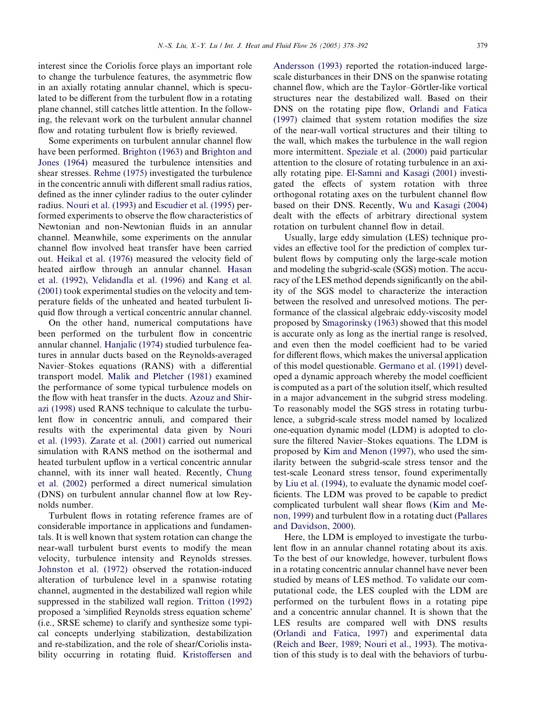interest since the Coriolis force plays an important role to change the turbulence features, the asymmetric flow in an axially rotating annular channel, which is speculated to be different from the turbulent flow in a rotating plane channel, still catches little attention. In the following, the relevant work on the turbulent annular channel flow and rotating turbulent flow is briefly reviewed.

Some experiments on turbulent annular channel flow have been performed. [Brighton \(1963\)](#page-13-0) and [Brighton and](#page-13-0) [Jones \(1964\)](#page-13-0) measured the turbulence intensities and shear stresses. [Rehme \(1975\)](#page-14-0) investigated the turbulence in the concentric annuli with different small radius ratios, defined as the inner cylinder radius to the outer cylinder radius. [Nouri et al. \(1993\)](#page-14-0) and [Escudier et al. \(1995\)](#page-13-0) performed experiments to observe the flow characteristics of Newtonian and non-Newtonian fluids in an annular channel. Meanwhile, some experiments on the annular channel flow involved heat transfer have been carried out. [Heikal et al. \(1976\)](#page-13-0) measured the velocity field of heated airflow through an annular channel. [Hasan](#page-13-0) [et al. \(1992\), Velidandla et al. \(1996\)](#page-13-0) and [Kang et al.](#page-13-0) [\(2001\)](#page-13-0) took experimental studies on the velocity and temperature fields of the unheated and heated turbulent liquid flow through a vertical concentric annular channel.

On the other hand, numerical computations have been performed on the turbulent flow in concentric annular channel. [Hanjalic \(1974\)](#page-13-0) studied turbulence features in annular ducts based on the Reynolds-averaged Navier–Stokes equations (RANS) with a differential transport model. [Malik and Pletcher \(1981\)](#page-14-0) examined the performance of some typical turbulence models on the flow with heat transfer in the ducts. [Azouz and Shir](#page-13-0)[azi \(1998\)](#page-13-0) used RANS technique to calculate the turbulent flow in concentric annuli, and compared their results with the experimental data given by [Nouri](#page-14-0) [et al. \(1993\)](#page-14-0). [Zarate et al. \(2001\)](#page-14-0) carried out numerical simulation with RANS method on the isothermal and heated turbulent upflow in a vertical concentric annular channel, with its inner wall heated. Recently, [Chung](#page-13-0) [et al. \(2002\)](#page-13-0) performed a direct numerical simulation (DNS) on turbulent annular channel flow at low Reynolds number.

Turbulent flows in rotating reference frames are of considerable importance in applications and fundamentals. It is well known that system rotation can change the near-wall turbulent burst events to modify the mean velocity, turbulence intensity and Reynolds stresses. [Johnston et al. \(1972\)](#page-13-0) observed the rotation-induced alteration of turbulence level in a spanwise rotating channel, augmented in the destabilized wall region while suppressed in the stabilized wall region. [Tritton \(1992\)](#page-14-0) proposed a 'simplified Reynolds stress equation scheme' (i.e., SRSE scheme) to clarify and synthesize some typical concepts underlying stabilization, destabilization and re-stabilization, and the role of shear/Coriolis instability occurring in rotating fluid. [Kristoffersen and](#page-14-0)

[Andersson \(1993\)](#page-14-0) reported the rotation-induced largescale disturbances in their DNS on the spanwise rotating channel flow, which are the Taylor–Görtler-like vortical structures near the destabilized wall. Based on their DNS on the rotating pipe flow, [Orlandi and Fatica](#page-14-0) [\(1997\)](#page-14-0) claimed that system rotation modifies the size of the near-wall vortical structures and their tilting to the wall, which makes the turbulence in the wall region more intermittent. [Speziale et al. \(2000\)](#page-14-0) paid particular attention to the closure of rotating turbulence in an axially rotating pipe. [El-Samni and Kasagi \(2001\)](#page-13-0) investigated the effects of system rotation with three orthogonal rotating axes on the turbulent channel flow based on their DNS. Recently, [Wu and Kasagi \(2004\)](#page-14-0) dealt with the effects of arbitrary directional system rotation on turbulent channel flow in detail.

Usually, large eddy simulation (LES) technique provides an effective tool for the prediction of complex turbulent flows by computing only the large-scale motion and modeling the subgrid-scale (SGS) motion. The accuracy of the LES method depends significantly on the ability of the SGS model to characterize the interaction between the resolved and unresolved motions. The performance of the classical algebraic eddy-viscosity model proposed by [Smagorinsky \(1963\)](#page-14-0) showed that this model is accurate only as long as the inertial range is resolved, and even then the model coefficient had to be varied for different flows, which makes the universal application of this model questionable. [Germano et al. \(1991\)](#page-13-0) developed a dynamic approach whereby the model coefficient is computed as a part of the solution itself, which resulted in a major advancement in the subgrid stress modeling. To reasonably model the SGS stress in rotating turbulence, a subgrid-scale stress model named by localized one-equation dynamic model (LDM) is adopted to closure the filtered Navier–Stokes equations. The LDM is proposed by [Kim and Menon \(1997\)](#page-14-0), who used the similarity between the subgrid-scale stress tensor and the test-scale Leonard stress tensor, found experimentally by [Liu et al. \(1994\),](#page-14-0) to evaluate the dynamic model coefficients. The LDM was proved to be capable to predict complicated turbulent wall shear flows [\(Kim and Me](#page-14-0)[non, 1999\)](#page-14-0) and turbulent flow in a rotating duct [\(Pallares](#page-14-0) [and Davidson, 2000](#page-14-0)).

Here, the LDM is employed to investigate the turbulent flow in an annular channel rotating about its axis. To the best of our knowledge, however, turbulent flows in a rotating concentric annular channel have never been studied by means of LES method. To validate our computational code, the LES coupled with the LDM are performed on the turbulent flows in a rotating pipe and a concentric annular channel. It is shown that the LES results are compared well with DNS results ([Orlandi and Fatica, 1997\)](#page-14-0) and experimental data ([Reich and Beer, 1989; Nouri et al., 1993\)](#page-14-0). The motivation of this study is to deal with the behaviors of turbu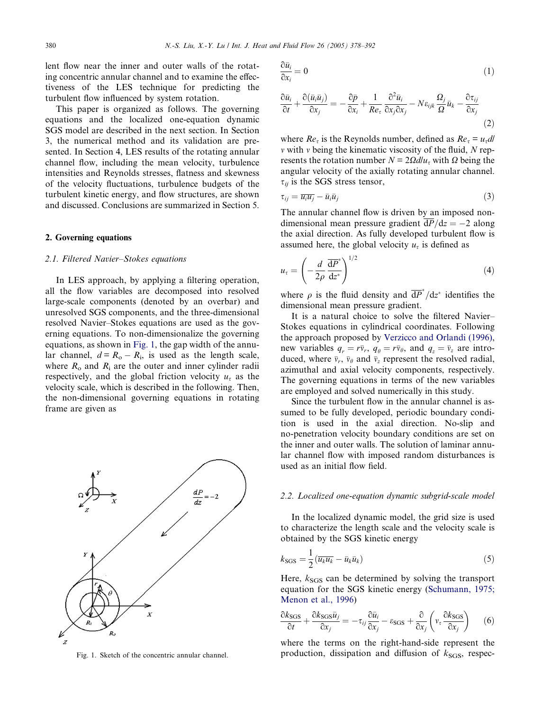<span id="page-2-0"></span>lent flow near the inner and outer walls of the rotating concentric annular channel and to examine the effectiveness of the LES technique for predicting the turbulent flow influenced by system rotation.

This paper is organized as follows. The governing equations and the localized one-equation dynamic SGS model are described in the next section. In Section 3, the numerical method and its validation are presented. In Section 4, LES results of the rotating annular channel flow, including the mean velocity, turbulence intensities and Reynolds stresses, flatness and skewness of the velocity fluctuations, turbulence budgets of the turbulent kinetic energy, and flow structures, are shown and discussed. Conclusions are summarized in Section 5.

# 2. Governing equations

# 2.1. Filtered Navier–Stokes equations

In LES approach, by applying a filtering operation, all the flow variables are decomposed into resolved large-scale components (denoted by an overbar) and unresolved SGS components, and the three-dimensional resolved Navier–Stokes equations are used as the governing equations. To non-dimensionalize the governing equations, as shown in Fig. 1, the gap width of the annular channel,  $d = R_0 - R_i$ , is used as the length scale, where  $R_0$  and  $R_i$  are the outer and inner cylinder radii respectively, and the global friction velocity  $u<sub>\tau</sub>$  as the velocity scale, which is described in the following. Then, the non-dimensional governing equations in rotating frame are given as



$$
\frac{\partial \bar{u}_i}{\partial x_i} = 0 \tag{1}
$$

$$
\frac{\partial \bar{u}_i}{\partial t} + \frac{\partial (\bar{u}_i \bar{u}_j)}{\partial x_j} = -\frac{\partial \bar{p}}{\partial x_i} + \frac{1}{Re_\tau} \frac{\partial^2 \bar{u}_i}{\partial x_j \partial x_j} - N \varepsilon_{ijk} \frac{\Omega_j}{\Omega} \bar{u}_k - \frac{\partial \tau_{ij}}{\partial x_j}
$$
(2)

where  $Re_\tau$  is the Reynolds number, defined as  $Re_\tau = u_\tau dl$  $\nu$  with  $\nu$  being the kinematic viscosity of the fluid, N represents the rotation number  $N = 2\Omega d / u_{\tau}$  with  $\Omega$  being the angular velocity of the axially rotating annular channel.  $\tau_{ii}$  is the SGS stress tensor,

$$
\tau_{ij} = \overline{u_i u_j} - \bar{u}_i \bar{u}_j \tag{3}
$$

The annular channel flow is driven by an imposed nondimensional mean pressure gradient  $\overline{dP}/dz = -2$  along the axial direction. As fully developed turbulent flow is assumed here, the global velocity  $u<sub>\tau</sub>$  is defined as

$$
u_{\tau} = \left(-\frac{d}{2\rho}\frac{\overline{\mathrm{d}P}^*}{\mathrm{d}z^*}\right)^{1/2} \tag{4}
$$

where  $\rho$  is the fluid density and  $\overline{dP}^*/dz^*$  identifies the dimensional mean pressure gradient.

It is a natural choice to solve the filtered Navier– Stokes equations in cylindrical coordinates. Following the approach proposed by [Verzicco and Orlandi \(1996\)](#page-14-0), new variables  $q_r = r\bar{v}_r$ ,  $q_\theta = r\bar{v}_\theta$ , and  $q_z = \bar{v}_z$  are introduced, where  $\bar{v}_r$ ,  $\bar{v}_\theta$  and  $\bar{v}_z$  represent the resolved radial, azimuthal and axial velocity components, respectively. The governing equations in terms of the new variables are employed and solved numerically in this study.

Since the turbulent flow in the annular channel is assumed to be fully developed, periodic boundary condition is used in the axial direction. No-slip and no-penetration velocity boundary conditions are set on the inner and outer walls. The solution of laminar annular channel flow with imposed random disturbances is used as an initial flow field.

# 2.2. Localized one-equation dynamic subgrid-scale model

In the localized dynamic model, the grid size is used to characterize the length scale and the velocity scale is obtained by the SGS kinetic energy

$$
k_{\text{SGS}} = \frac{1}{2} \left( \overline{u_k u_k} - \overline{u}_k \overline{u}_k \right) \tag{5}
$$

Here,  $k_{SGS}$  can be determined by solving the transport equation for the SGS kinetic energy [\(Schumann, 1975;](#page-14-0) [Menon et al., 1996](#page-14-0))

$$
\frac{\partial k_{\text{SGS}}}{\partial t} + \frac{\partial k_{\text{SGS}} \bar{u}_j}{\partial x_j} = -\tau_{ij} \frac{\partial \bar{u}_i}{\partial x_j} - \varepsilon_{\text{SGS}} + \frac{\partial}{\partial x_j} \left( v_\tau \frac{\partial k_{\text{SGS}}}{\partial x_j} \right) \tag{6}
$$

where the terms on the right-hand-side represent the Fig. 1. Sketch of the concentric annular channel. production, dissipation and diffusion of  $k_{SGS}$ , respec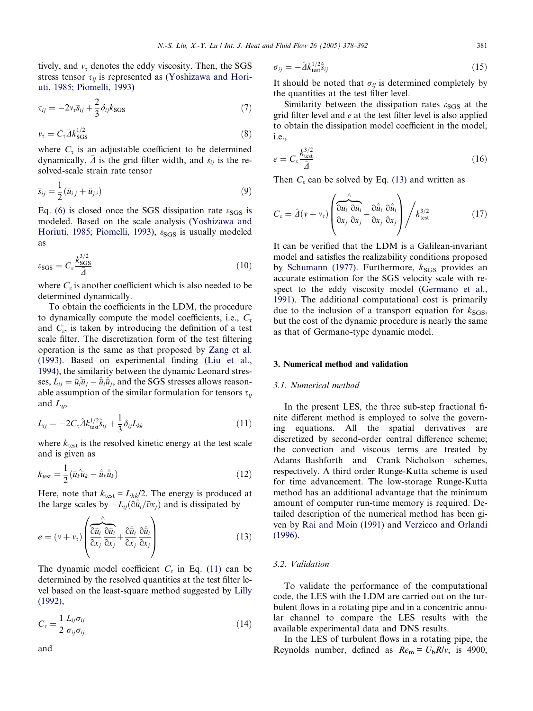tively, and  $v<sub>\tau</sub>$  denotes the eddy viscosity. Then, the SGS stress tensor  $\tau_{ii}$  is represented as [\(Yoshizawa and Hori](#page-14-0)[uti, 1985; Piomelli, 1993](#page-14-0))

$$
\tau_{ij} = -2v_{\tau}\bar{s}_{ij} + \frac{2}{3}\delta_{ij}k_{\text{SGS}}\tag{7}
$$

$$
v_{\tau} = C_{\tau} \bar{A} k_{\text{SGS}}^{1/2} \tag{8}
$$

where  $C_{\tau}$  is an adjustable coefficient to be determined dynamically,  $\bar{\Delta}$  is the grid filter width, and  $\bar{s}_{ij}$  is the resolved-scale strain rate tensor

$$
\bar{s}_{ij} = \frac{1}{2} (\bar{u}_{i,j} + \bar{u}_{j,i})
$$
\n(9)

Eq. [\(6\)](#page-2-0) is closed once the SGS dissipation rate  $\varepsilon_{SGS}$  is modeled. Based on the scale analysis [\(Yoshizawa and](#page-14-0) [Horiuti, 1985; Piomelli, 1993\)](#page-14-0),  $\varepsilon_{SGS}$  is usually modeled as

$$
\varepsilon_{\text{SGS}} = C_{\varepsilon} \frac{k_{\text{SGS}}^{3/2}}{\bar{A}} \tag{10}
$$

where  $C_{\varepsilon}$  is another coefficient which is also needed to be determined dynamically.

To obtain the coefficients in the LDM, the procedure to dynamically compute the model coefficients, i.e.,  $C_{\tau}$ and  $C_{\varepsilon}$ , is taken by introducing the definition of a test scale filter. The discretization form of the test filtering operation is the same as that proposed by [Zang et al.](#page-14-0) [\(1993\)](#page-14-0). Based on experimental finding ([Liu et al.,](#page-14-0) [1994](#page-14-0)), the similarity between the dynamic Leonard stresses,  $L_{ij} = \bar{u}_i\hat{\bar{u}}_j - \hat{\bar{u}}_i\hat{\bar{u}}_j,$  and the SGS stresses allows reasonable assumption of the similar formulation for tensors  $\tau_{ii}$ and  $L_{ii}$ ,

$$
L_{ij} = -2C_{\tau}\hat{\Delta}k_{\text{test}}^{1/2}\hat{s}_{ij} + \frac{1}{3}\delta_{ij}L_{kk}
$$
\n(11)

where  $k_{\text{test}}$  is the resolved kinetic energy at the test scale and is given as

$$
k_{\text{test}} = \frac{1}{2} (\bar{u}_k \bar{u}_k - \hat{u}_k \hat{u}_k)
$$
 (12)

Here, note that  $k_{\text{test}} = L_{kk}/2$ . The energy is produced at the large scales by  $-L_{ii}(\partial \hat{u}_i/\partial x_i)$  and is dissipated by

$$
e = (v + v_{\tau}) \left( \frac{\partial \overline{u}_i}{\partial x_j} \frac{\partial \overline{u}_i}{\partial x_j} + \frac{\partial \hat{\overline{u}}_i}{\partial x_j} \frac{\partial \hat{\overline{u}}_i}{\partial x_j} \right)
$$
(13)

The dynamic model coefficient  $C_{\tau}$  in Eq. (11) can be determined by the resolved quantities at the test filter level based on the least-square method suggested by [Lilly](#page-14-0) [\(1992\)](#page-14-0),

$$
C_{\tau} = \frac{1}{2} \frac{L_{ij} \sigma_{ij}}{\sigma_{ij} \sigma_{ij}} \tag{14}
$$

$$
\sigma_{ij} = -\hat{\Delta} k_{\text{test}}^{1/2} \hat{s}_{ij} \tag{15}
$$

It should be noted that  $\sigma_{ij}$  is determined completely by the quantities at the test filter level.

Similarity between the dissipation rates  $\varepsilon_{SGS}$  at the grid filter level and e at the test filter level is also applied to obtain the dissipation model coefficient in the model, i.e.,

$$
e = C_e \frac{k_{\text{test}}^{3/2}}{\hat{\Delta}} \tag{16}
$$

Then  $C_{\varepsilon}$  can be solved by Eq. (13) and written as

$$
C_{\varepsilon} = \hat{\varDelta}(v + v_{\tau}) \left( \frac{\partial \overline{u}_i}{\partial x_j} \frac{\partial \overline{u}_i}{\partial x_j} - \frac{\partial \hat{\overline{u}}_i}{\partial x_j} \frac{\partial \hat{\overline{u}}_i}{\partial x_j} \right) / k_{\text{test}}^{3/2}
$$
(17)

It can be verified that the LDM is a Galilean-invariant model and satisfies the realizability conditions proposed by [Schumann \(1977\).](#page-14-0) Furthermore,  $k_{SGS}$  provides an accurate estimation for the SGS velocity scale with respect to the eddy viscosity model [\(Germano et al.,](#page-13-0) [1991](#page-13-0)). The additional computational cost is primarily due to the inclusion of a transport equation for  $k_{SGS}$ , but the cost of the dynamic procedure is nearly the same as that of Germano-type dynamic model.

#### 3. Numerical method and validation

## 3.1. Numerical method

In the present LES, the three sub-step fractional finite different method is employed to solve the governing equations. All the spatial derivatives are discretized by second-order central difference scheme; the convection and viscous terms are treated by Adams–Bashforth and Crank–Nicholson schemes, respectively. A third order Runge-Kutta scheme is used for time advancement. The low-storage Runge-Kutta method has an additional advantage that the minimum amount of computer run-time memory is required. Detailed description of the numerical method has been given by [Rai and Moin \(1991\)](#page-14-0) and [Verzicco and Orlandi](#page-14-0) [\(1996\)](#page-14-0).

# 3.2. Validation

To validate the performance of the computational code, the LES with the LDM are carried out on the turbulent flows in a rotating pipe and in a concentric annular channel to compare the LES results with the available experimental data and DNS results.

In the LES of turbulent flows in a rotating pipe, the Reynolds number, defined as  $Re<sub>m</sub> = U<sub>b</sub>R/v$ , is 4900,

and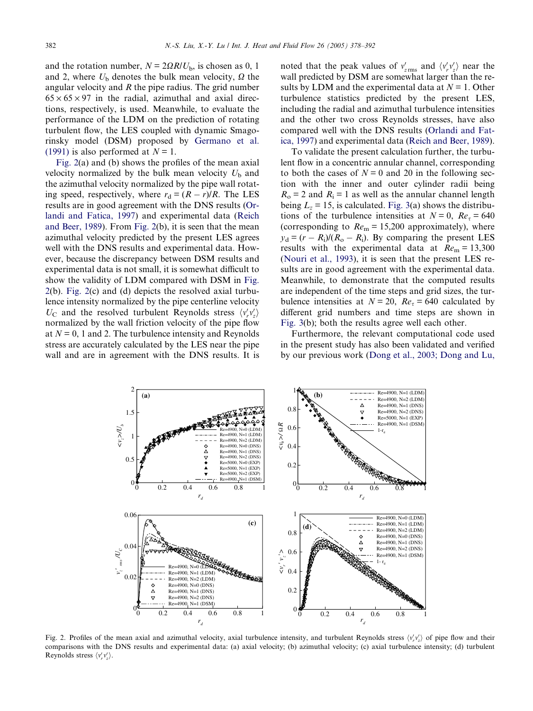and the rotation number,  $N = 2\Omega R/U_b$ , is chosen as 0, 1 and 2, where  $U<sub>b</sub>$  denotes the bulk mean velocity,  $\Omega$  the angular velocity and  $R$  the pipe radius. The grid number  $65 \times 65 \times 97$  in the radial, azimuthal and axial directions, respectively, is used. Meanwhile, to evaluate the performance of the LDM on the prediction of rotating turbulent flow, the LES coupled with dynamic Smagorinsky model (DSM) proposed by [Germano et al.](#page-13-0) [\(1991\)](#page-13-0) is also performed at  $N = 1$ .

Fig. 2(a) and (b) shows the profiles of the mean axial velocity normalized by the bulk mean velocity  $U<sub>b</sub>$  and the azimuthal velocity normalized by the pipe wall rotating speed, respectively, where  $r_d = (R - r)/R$ . The LES results are in good agreement with the DNS results ([Or](#page-14-0)[landi and Fatica, 1997](#page-14-0)) and experimental data [\(Reich](#page-14-0) [and Beer, 1989](#page-14-0)). From Fig. 2(b), it is seen that the mean azimuthal velocity predicted by the present LES agrees well with the DNS results and experimental data. However, because the discrepancy between DSM results and experimental data is not small, it is somewhat difficult to show the validity of LDM compared with DSM in Fig. 2(b). Fig. 2(c) and (d) depicts the resolved axial turbulence intensity normalized by the pipe centerline velocity  $U_{\rm C}$  and the resolved turbulent Reynolds stress  $\langle v'_r v'_z \rangle$ normalized by the wall friction velocity of the pipe flow at  $N = 0$ , 1 and 2. The turbulence intensity and Reynolds stress are accurately calculated by the LES near the pipe wall and are in agreement with the DNS results. It is

noted that the peak values of  $v'_{z\text{rms}}$  and  $\langle v'_{r} v'_{z} \rangle$  near the wall predicted by DSM are somewhat larger than the results by LDM and the experimental data at  $N = 1$ . Other turbulence statistics predicted by the present LES, including the radial and azimuthal turbulence intensities and the other two cross Reynolds stresses, have also compared well with the DNS results [\(Orlandi and Fat](#page-14-0)[ica, 1997\)](#page-14-0) and experimental data ([Reich and Beer, 1989\)](#page-14-0).

To validate the present calculation further, the turbulent flow in a concentric annular channel, corresponding to both the cases of  $N = 0$  and 20 in the following section with the inner and outer cylinder radii being  $R<sub>o</sub> = 2$  and  $R<sub>i</sub> = 1$  as well as the annular channel length being  $L_z = 15$ , is calculated. [Fig. 3](#page-5-0)(a) shows the distributions of the turbulence intensities at  $N = 0$ ,  $Re<sub>\tau</sub> = 640$ (corresponding to  $Re<sub>m</sub> = 15,200$  approximately), where  $y_d = (r - R_i)/(R_o - R_i)$ . By comparing the present LES results with the experimental data at  $Re<sub>m</sub> = 13,300$ ([Nouri et al., 1993\)](#page-14-0), it is seen that the present LES results are in good agreement with the experimental data. Meanwhile, to demonstrate that the computed results are independent of the time steps and grid sizes, the turbulence intensities at  $N = 20$ ,  $Re<sub>\tau</sub> = 640$  calculated by different grid numbers and time steps are shown in [Fig. 3](#page-5-0)(b); both the results agree well each other.

Furthermore, the relevant computational code used in the present study has also been validated and verified by our previous work [\(Dong et al., 2003; Dong and Lu,](#page-13-0)



Fig. 2. Profiles of the mean axial and azimuthal velocity, axial turbulence intensity, and turbulent Reynolds stress  $\langle v'_r v'_z \rangle$  of pipe flow and their comparisons with the DNS results and experimental data: (a) axial velocity; (b) azimuthal velocity; (c) axial turbulence intensity; (d) turbulent Reynolds stress  $\langle v'_r v'_z \rangle$ .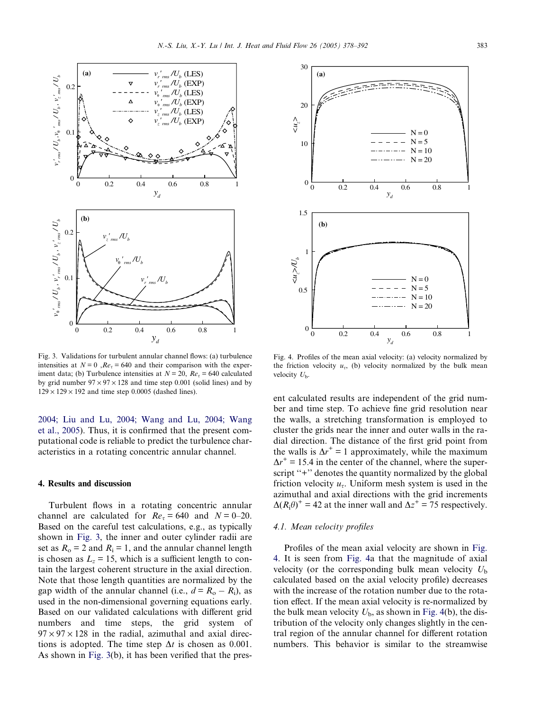<span id="page-5-0"></span>

Fig. 3. Validations for turbulent annular channel flows: (a) turbulence intensities at  $N = 0$ ,  $Re<sub>z</sub> = 640$  and their comparison with the experiment data; (b) Turbulence intensities at  $N = 20$ ,  $Re<sub>\tau</sub> = 640$  calculated by grid number  $97 \times 97 \times 128$  and time step 0.001 (solid lines) and by  $129 \times 129 \times 192$  and time step 0.0005 (dashed lines).

[2004; Liu and Lu, 2004; Wang and Lu, 2004; Wang](#page-13-0) [et al., 2005](#page-13-0)). Thus, it is confirmed that the present computational code is reliable to predict the turbulence characteristics in a rotating concentric annular channel.

# 4. Results and discussion

Turbulent flows in a rotating concentric annular channel are calculated for  $Re<sub>z</sub> = 640$  and  $N = 0-20$ . Based on the careful test calculations, e.g., as typically shown in Fig. 3, the inner and outer cylinder radii are set as  $R_0 = 2$  and  $R_i = 1$ , and the annular channel length is chosen as  $L_z = 15$ , which is a sufficient length to contain the largest coherent structure in the axial direction. Note that those length quantities are normalized by the gap width of the annular channel (i.e.,  $d = R_0 - R_i$ ), as used in the non-dimensional governing equations early. Based on our validated calculations with different grid numbers and time steps, the grid system of  $97 \times 97 \times 128$  in the radial, azimuthal and axial directions is adopted. The time step  $\Delta t$  is chosen as 0.001. As shown in Fig. 3(b), it has been verified that the pres-



Fig. 4. Profiles of the mean axial velocity: (a) velocity normalized by the friction velocity  $u_{\tau}$ , (b) velocity normalized by the bulk mean velocity  $U<sub>b</sub>$ .

ent calculated results are independent of the grid number and time step. To achieve fine grid resolution near the walls, a stretching transformation is employed to cluster the grids near the inner and outer walls in the radial direction. The distance of the first grid point from the walls is  $\Delta r^+ = 1$  approximately, while the maximum  $\Delta r^+$  = 15.4 in the center of the channel, where the superscript "+" denotes the quantity normalized by the global friction velocity  $u_{\tau}$ . Uniform mesh system is used in the azimuthal and axial directions with the grid increments  $\Delta(R_i\theta)^+$  = 42 at the inner wall and  $\Delta z^+$  = 75 respectively.

# 4.1. Mean velocity profiles

Profiles of the mean axial velocity are shown in Fig. 4. It is seen from Fig. 4a that the magnitude of axial velocity (or the corresponding bulk mean velocity  $U<sub>b</sub>$ calculated based on the axial velocity profile) decreases with the increase of the rotation number due to the rotation effect. If the mean axial velocity is re-normalized by the bulk mean velocity  $U<sub>b</sub>$ , as shown in Fig. 4(b), the distribution of the velocity only changes slightly in the central region of the annular channel for different rotation numbers. This behavior is similar to the streamwise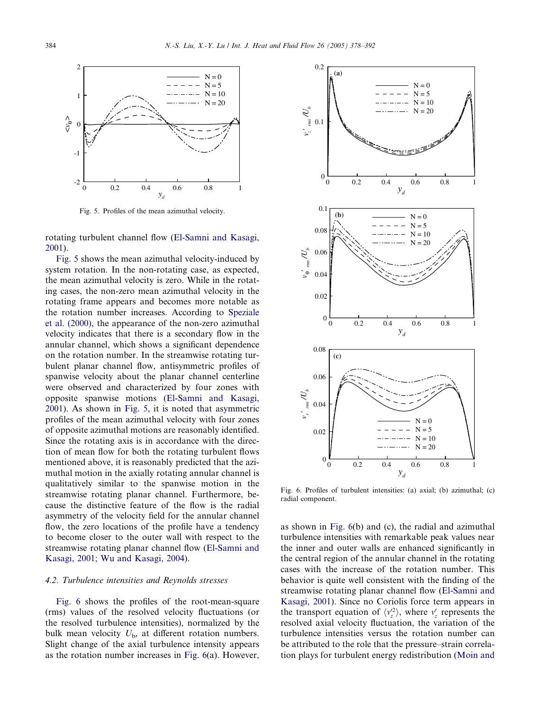<span id="page-6-0"></span>

Fig. 5. Profiles of the mean azimuthal velocity.

rotating turbulent channel flow [\(El-Samni and Kasagi,](#page-13-0) [2001\)](#page-13-0).

Fig. 5 shows the mean azimuthal velocity-induced by system rotation. In the non-rotating case, as expected, the mean azimuthal velocity is zero. While in the rotating cases, the non-zero mean azimuthal velocity in the rotating frame appears and becomes more notable as the rotation number increases. According to [Speziale](#page-14-0) [et al. \(2000\)](#page-14-0), the appearance of the non-zero azimuthal velocity indicates that there is a secondary flow in the annular channel, which shows a significant dependence on the rotation number. In the streamwise rotating turbulent planar channel flow, antisymmetric profiles of spanwise velocity about the planar channel centerline were observed and characterized by four zones with opposite spanwise motions [\(El-Samni and Kasagi,](#page-13-0) [2001\)](#page-13-0). As shown in Fig. 5, it is noted that asymmetric profiles of the mean azimuthal velocity with four zones of opposite azimuthal motions are reasonably identified. Since the rotating axis is in accordance with the direction of mean flow for both the rotating turbulent flows mentioned above, it is reasonably predicted that the azimuthal motion in the axially rotating annular channel is qualitatively similar to the spanwise motion in the streamwise rotating planar channel. Furthermore, because the distinctive feature of the flow is the radial asymmetry of the velocity field for the annular channel flow, the zero locations of the profile have a tendency to become closer to the outer wall with respect to the streamwise rotating planar channel flow ([El-Samni and](#page-13-0) [Kasagi, 2001; Wu and Kasagi, 2004](#page-13-0)).

# 4.2. Turbulence intensities and Reynolds stresses

Fig. 6 shows the profiles of the root-mean-square (rms) values of the resolved velocity fluctuations (or the resolved turbulence intensities), normalized by the bulk mean velocity  $U_{\rm b}$ , at different rotation numbers. Slight change of the axial turbulence intensity appears as the rotation number increases in Fig. 6(a). However,



Fig. 6. Profiles of turbulent intensities: (a) axial; (b) azimuthal; (c) radial component.

as shown in Fig. 6(b) and (c), the radial and azimuthal turbulence intensities with remarkable peak values near the inner and outer walls are enhanced significantly in the central region of the annular channel in the rotating cases with the increase of the rotation number. This behavior is quite well consistent with the finding of the streamwise rotating planar channel flow ([El-Samni and](#page-13-0) [Kasagi, 2001\)](#page-13-0). Since no Coriolis force term appears in the transport equation of  $\langle v_z^2 \rangle$ , where  $v_z$  represents the resolved axial velocity fluctuation, the variation of the turbulence intensities versus the rotation number can be attributed to the role that the pressure–strain correlation plays for turbulent energy redistribution ([Moin and](#page-14-0)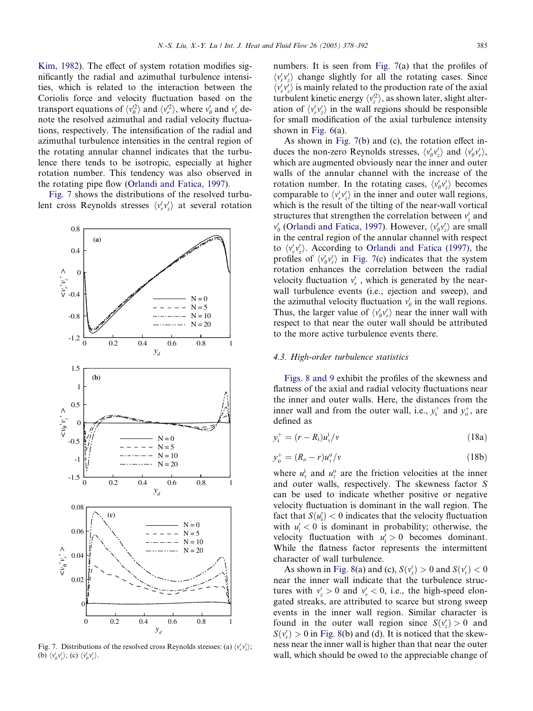<span id="page-7-0"></span>[Kim, 1982](#page-14-0)). The effect of system rotation modifies significantly the radial and azimuthal turbulence intensities, which is related to the interaction between the Coriolis force and velocity fluctuation based on the transport equations of  $\langle v_{\theta}^2 \rangle$  and  $\langle v_{r}^2 \rangle$ , where  $v_{\theta}^{\prime}$  and  $v_{r}^{\prime}$  denote the resolved azimuthal and radial velocity fluctuations, respectively. The intensification of the radial and azimuthal turbulence intensities in the central region of the rotating annular channel indicates that the turbulence there tends to be isotropic, especially at higher rotation number. This tendency was also observed in the rotating pipe flow ([Orlandi and Fatica, 1997](#page-14-0)).

Fig. 7 shows the distributions of the resolved turbulent cross Reynolds stresses  $\langle v'_r v'_z \rangle$  at several rotation



Fig. 7. Distributions of the resolved cross Reynolds stresses: (a)  $\langle v'_r v'_z \rangle$ ; (b)  $\langle v'_\theta v'_z \rangle$ ; (c)  $\langle v'_\theta v'_r \rangle$ .

numbers. It is seen from Fig. 7(a) that the profiles of  $\langle v_r' v_z' \rangle$  change slightly for all the rotating cases. Since  $\langle v_r' v_z' \rangle$  is mainly related to the production rate of the axial turbulent kinetic energy  $\langle v_z^2 \rangle$ , as shown later, slight alteration of  $\langle v_r' v_z' \rangle$  in the wall regions should be responsible for small modification of the axial turbulence intensity shown in [Fig. 6](#page-6-0)(a).

As shown in Fig. 7(b) and (c), the rotation effect induces the non-zero Reynolds stresses,  $\langle v'_\theta v'_z \rangle$  and  $\langle v'_\theta v'_r \rangle$ , which are augmented obviously near the inner and outer walls of the annular channel with the increase of the rotation number. In the rotating cases,  $\langle v'_\theta v'_z \rangle$  becomes comparable to  $\langle v_r' v_z' \rangle$  in the inner and outer wall regions, which is the result of the tilting of the near-wall vortical structures that strengthen the correlation between  $v'_z$  and  $v'_{\theta}$  ([Orlandi and Fatica, 1997](#page-14-0)). However,  $\langle v'_{\theta} v'_{z} \rangle$  are small in the central region of the annular channel with respect to  $\langle v'_r v'_z \rangle$ . According to [Orlandi and Fatica \(1997\),](#page-14-0) the profiles of  $\langle v'_\theta v'_r \rangle$  in Fig. 7(c) indicates that the system rotation enhances the correlation between the radial velocity fluctuation  $v'_r$ , which is generated by the nearwall turbulence events (i.e., ejection and sweep), and the azimuthal velocity fluctuation  $v'_{\theta}$  in the wall regions. Thus, the larger value of  $\langle v'_p v'_r \rangle$  near the inner wall with respect to that near the outer wall should be attributed to the more active turbulence events there.

# 4.3. High-order turbulence statistics

[Figs. 8 and 9](#page-8-0) exhibit the profiles of the skewness and flatness of the axial and radial velocity fluctuations near the inner and outer walls. Here, the distances from the inner wall and from the outer wall, i.e.,  $y_i^+$  and  $y_o^+$ , are defined as

$$
y_i^+ = (r - R_i)u_i^i/v \tag{18a}
$$

$$
y_o^+ = (R_o - r)u_\tau^o/v \tag{18b}
$$

where  $u^i_\tau$  and  $u^o_\tau$  are the friction velocities at the inner and outer walls, respectively. The skewness factor S can be used to indicate whether positive or negative velocity fluctuation is dominant in the wall region. The fact that  $S(u'_i) < 0$  indicates that the velocity fluctuation with  $u'_i < 0$  is dominant in probability; otherwise, the velocity fluctuation with  $u'_i > 0$  becomes dominant. While the flatness factor represents the intermittent character of wall turbulence.

As shown in [Fig. 8\(](#page-8-0)a) and (c),  $S(v'_z) > 0$  and  $S(v'_r) < 0$ near the inner wall indicate that the turbulence structures with  $v'_z > 0$  and  $v'_r < 0$ , i.e., the high-speed elongated streaks, are attributed to scarce but strong sweep events in the inner wall region. Similar character is found in the outer wall region since  $S(v'_z) > 0$  and  $S(v'_r) > 0$  in [Fig. 8](#page-8-0)(b) and (d). It is noticed that the skewness near the inner wall is higher than that near the outer wall, which should be owed to the appreciable change of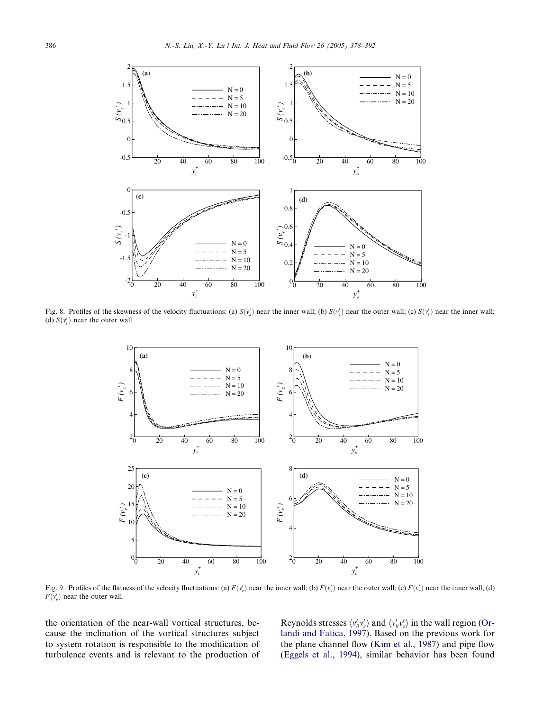<span id="page-8-0"></span>

Fig. 8. Profiles of the skewness of the velocity fluctuations: (a)  $S(v'_z)$  near the inner wall; (b)  $S(v'_z)$  near the outer wall; (c)  $S(v'_r)$  near the inner wall; (d)  $S(v'_r)$  near the outer wall.



Fig. 9. Profiles of the flatness of the velocity fluctuations: (a)  $F(v'_z)$  near the inner wall; (b)  $F(v'_z)$  near the outer wall; (c)  $F(v'_z)$  near the inner wall; (d)  $F(v'_r)$  near the outer wall.

the orientation of the near-wall vortical structures, because the inclination of the vortical structures subject to system rotation is responsible to the modification of turbulence events and is relevant to the production of

Reynolds stresses  $\langle v'_\theta v'_r \rangle$  and  $\langle v'_\theta v'_z \rangle$  in the wall region ([Or](#page-14-0)[landi and Fatica, 1997](#page-14-0)). Based on the previous work for the plane channel flow ([Kim et al., 1987](#page-14-0)) and pipe flow ([Eggels et al., 1994\)](#page-13-0), similar behavior has been found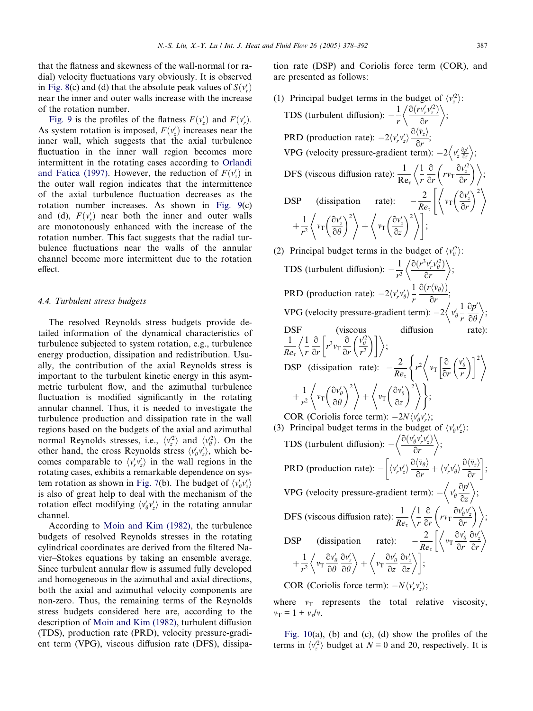that the flatness and skewness of the wall-normal (or radial) velocity fluctuations vary obviously. It is observed in [Fig. 8\(](#page-8-0)c) and (d) that the absolute peak values of  $S(v'_r)$ near the inner and outer walls increase with the increase of the rotation number.

[Fig. 9](#page-8-0) is the profiles of the flatness  $F(v'_z)$  and  $F(v'_r)$ . As system rotation is imposed,  $F(v'_z)$  increases near the inner wall, which suggests that the axial turbulence fluctuation in the inner wall region becomes more intermittent in the rotating cases according to [Orlandi](#page-14-0) [and Fatica \(1997\)](#page-14-0). However, the reduction of  $F(v'_z)$  in the outer wall region indicates that the intermittence of the axial turbulence fluctuation decreases as the rotation number increases. As shown in [Fig. 9\(](#page-8-0)c) and (d),  $F(v'_r)$  near both the inner and outer walls are monotonously enhanced with the increase of the rotation number. This fact suggests that the radial turbulence fluctuations near the walls of the annular channel become more intermittent due to the rotation effect.

# 4.4. Turbulent stress budgets

The resolved Reynolds stress budgets provide detailed information of the dynamical characteristics of turbulence subjected to system rotation, e.g., turbulence energy production, dissipation and redistribution. Usually, the contribution of the axial Reynolds stress is important to the turbulent kinetic energy in this asymmetric turbulent flow, and the azimuthal turbulence fluctuation is modified significantly in the rotating annular channel. Thus, it is needed to investigate the turbulence production and dissipation rate in the wall regions based on the budgets of the axial and azimuthal normal Reynolds stresses, i.e.,  $\langle v_z^2 \rangle$  and  $\langle v_\theta^2 \rangle$ . On the other hand, the cross Reynolds stress  $\langle v'_\theta v'_z \rangle$ , which becomes comparable to  $\langle v'_r v'_z \rangle$  in the wall regions in the rotating cases, exhibits a remarkable dependence on sys-tem rotation as shown in [Fig. 7](#page-7-0)(b). The budget of  $\langle v'_\theta v'_z \rangle$ is also of great help to deal with the mechanism of the rotation effect modifying  $\langle v'_\theta v'_z \rangle$  in the rotating annular channel.

According to [Moin and Kim \(1982\),](#page-14-0) the turbulence budgets of resolved Reynolds stresses in the rotating cylindrical coordinates are derived from the filtered Navier–Stokes equations by taking an ensemble average. Since turbulent annular flow is assumed fully developed and homogeneous in the azimuthal and axial directions, both the axial and azimuthal velocity components are non-zero. Thus, the remaining terms of the Reynolds stress budgets considered here are, according to the description of [Moin and Kim \(1982\)](#page-14-0), turbulent diffusion (TDS), production rate (PRD), velocity pressure-gradient term (VPG), viscous diffusion rate (DFS), dissipation rate (DSP) and Coriolis force term (COR), and are presented as follows:

- (1) Principal budget terms in the budget of  $\langle v_z^2 \rangle$ : TDS (turbulent diffusion):  $-\frac{1}{r}$  $\partial (rv'_r v'^2_z)$  $\partial r$  $\frac{6466}{2}$ ; PRD (production rate):  $-2\langle v'_r v'_z \rangle \frac{\partial \langle \bar{v}_z \rangle}{\partial r};$ VPG (velocity pressure-gradient term):  $-2\left\langle v'_z \frac{\partial p'}{\partial z} \right\rangle$ ; DFS (viscous diffusion rate):  $\frac{1}{Re_z}$ 1 r  $\frac{\partial}{\partial r}\left(r v_{\rm T} \frac{\partial v'^2_z}{\partial r}\right)$  $\partial r$  $\langle \frac{1}{2} \frac{\partial}{\partial (r v_{\rm T} \frac{\partial v'^2}{\partial})}\rangle$ DSP (dissipation rate):  $-\frac{2}{Re_{\tau}}\left|\left\langle v_{\text{T}}\left(\frac{\partial v_{z}^{\prime}}{\partial r}\right)\right\rangle\right|$  $\partial r$  $\left[ \begin{array}{cc} 2 & 2 \\ 2 & 2 \end{array} \right]$  $+\frac{1}{r^2}\bigg\langle v_{\rm T}\bigg(\frac{\partial v'_{z}}{\partial \theta}\bigg)$  $\partial \theta$  $\int \frac{2x^2}{(2x)^2}$  $+\left\langle v_{\rm T}\left(\frac{\partial v_{\rm z}^{\prime}}{\partial x}\right) \right\rangle$  $\partial z$  $\left( \frac{2}{3} \right)^{12}$ ;
- (2) Principal budget terms in the budget of  $\langle v_{\theta}^2 \rangle$ : TDS (turbulent diffusion):  $-\frac{1}{r^3}$  $\partial(r^3v'_r v'_\theta)$  $\partial r$  $(2(u^3)(u^2))^2$ ; PRD (production rate):  $-2\langle v'_r v'_\theta \rangle \frac{1}{r}$ r  $\frac{\partial (r\langle \bar{\nu}_{\theta}\rangle)}{\partial r};$ VPG (velocity pressure-gradient term):  $-2\langle v'_{\theta} \rangle$ 1 r  $\partial p'$  $\partial \theta$  $(1.3n')$ ; DSF (viscous diffusion 1  $Re_\tau$ 1 r  $\frac{\partial}{\partial r}\left[r^3v_T\frac{\partial}{\partial r}\right]$  $\partial r$  $\frac{v'^2_{\theta}}{r^2}$  $\left\langle \frac{1}{2} \frac{\partial}{\partial} \left[ r^3 v_{\rm T} \frac{\partial}{\partial} \left( \frac{v_{\rm g}^{\prime 2}}{v_{\rm T}^2} \right) \right] \right\rangle$ **DSP** (dissipation rate):  $-\frac{2}{Re_{\tau}}\left\{r^2\left(v_T\left[\frac{\partial}{\partial r}\right]\right)\right\}$  $\partial r$  $v'_\theta$ r  $\int$   $\int$   $\int$   $\left(\frac{1}{2}\right)^{12}$  $+\frac{1}{r^2}\bigg\langle v_{\rm T}\bigg(\frac{\partial v'_{\theta}}{\partial \theta}$  $\partial \theta$  $\left( \frac{2}{3}y^2\right)^2$  $+\left\langle v_{\rm T}\left(\frac{\partial v_{\theta}'}{\partial z}\right) \right\rangle$  $\partial z$  $\left( \frac{2}{(2n)^2} \right)^2$ ; COR (Coriolis force term):  $-2N\langle v'_\theta v'_r\rangle$ ; (3) Principal budget terms in the budget of  $\langle v'_0 v'_z \rangle$ : TDS (turbulent diffusion):  $-\left\langle \frac{\partial (v'_{\theta} v'_r v'_z)}{\partial u_r} \right\rangle$  $\partial r$  $12(y' y' y')$ ; PRD (production rate):  $- \left[ \langle v'_r v'_z \rangle \frac{\partial \langle \overline{v}_\theta \rangle}{\partial r} + \langle v'_r v'_\theta \rangle \frac{\partial \langle \overline{v}_z \rangle}{\partial r} \right]$  $\partial r$  $\begin{bmatrix} 0 & \frac{1}{2} & \frac{1}{2} & \frac{1}{2} & \frac{1}{2} & \frac{1}{2} & \frac{1}{2} & \frac{1}{2} & \frac{1}{2} & \frac{1}{2} & \frac{1}{2} & \frac{1}{2} & \frac{1}{2} & \frac{1}{2} & \frac{1}{2} & \frac{1}{2} & \frac{1}{2} & \frac{1}{2} & \frac{1}{2} & \frac{1}{2} & \frac{1}{2} & \frac{1}{2} & \frac{1}{2} & \frac{1}{2} & \frac{1}{2} & \frac{1}{2} & \frac{1}{2} & \frac{$ ; VPG (velocity pressure-gradient term):  $-\langle v'_{\theta} \rangle$  $\partial p'$  $\partial z$  $\left( \frac{2}{2}n^{\prime }\right)$ ; DFS (viscous diffusion rate):  $\frac{1}{Re_{\tau}}$ 1 r  $\frac{\partial}{\partial r}\bigg(rv_{\rm T}\frac{\partial v'_\theta v'_z}{\partial r}$  $\partial r$  $\left\langle \frac{1}{2} \frac{\partial}{\partial} \left( r v_{\rm T} \frac{\partial v_{\theta}^{\prime} v_{z}^{\prime}}{2} \right) \right\rangle$ **DSP** (dissipation rate):  $-\frac{2}{Re_{\tau}}\left[\left\langle v_{\text{T}}\frac{\partial v_{\theta}'}{\partial r}\right\rangle\right]$  $\partial r$  $\partial v'_z$  $\partial r$  $\begin{pmatrix} 1 & 2 & 3 \\ 1 & 2 & 3 \end{pmatrix}$  $+\frac{1}{r^2}\left\langle v_T\frac{\partial v'_\theta}{\partial \theta}\right\rangle$  $\partial \theta$  $\partial v'_z$  $\partial \theta$  $\left( \begin{array}{cc} a_{11} & a_{22} \end{array} \right)$  $+\left\langle v_{\rm T}\frac{\partial v'_{\theta}}{\partial z}\right\rangle$  $\partial z$  $\partial v'_z$  $\partial z$  $\left(1 - \frac{2}{3}u^2 + \frac{2}{3}u^3 + 1\right)$ ; COR (Coriolis force term):  $-N\langle v'_r v'_z \rangle$ ;

where  $v_T$  represents the total relative viscosity,  $v_T = 1 + v_r/v$ .

Fig.  $10(a)$ , (b) and (c), (d) show the profiles of the terms in  $\langle v_z^2 \rangle$  budget at  $N = 0$  and 20, respectively. It is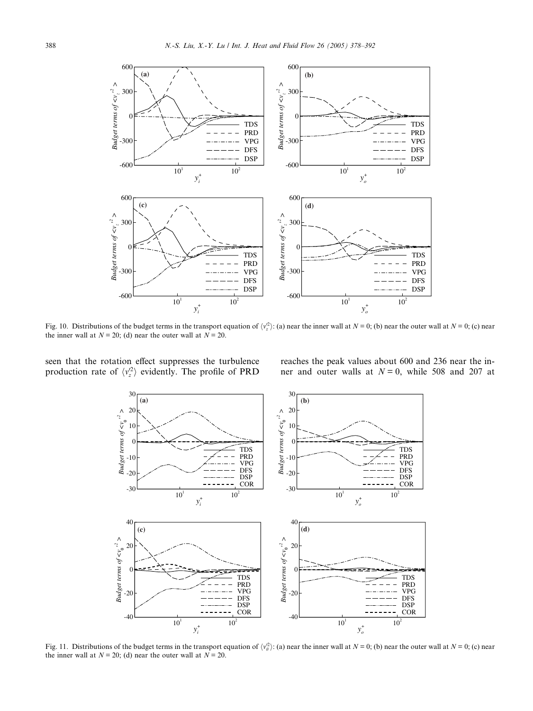<span id="page-10-0"></span>

Fig. 10. Distributions of the budget terms in the transport equation of  $\langle v_z^2 \rangle$ : (a) near the inner wall at  $N = 0$ ; (b) near the outer wall at  $N = 0$ ; (c) near the inner wall at  $N = 20$ ; (d) near the outer wall at  $N = 20$ .

seen that the rotation effect suppresses the turbulence production rate of  $\langle v_z^2 \rangle$  evidently. The profile of PRD

reaches the peak values about 600 and 236 near the inner and outer walls at  $N = 0$ , while 508 and 207 at



Fig. 11. Distributions of the budget terms in the transport equation of  $\langle v_\theta^2 \rangle$ : (a) near the inner wall at  $N = 0$ ; (b) near the outer wall at  $N = 0$ ; (c) near the inner wall at  $N = 20$ ; (d) near the outer wall at  $N = 20$ .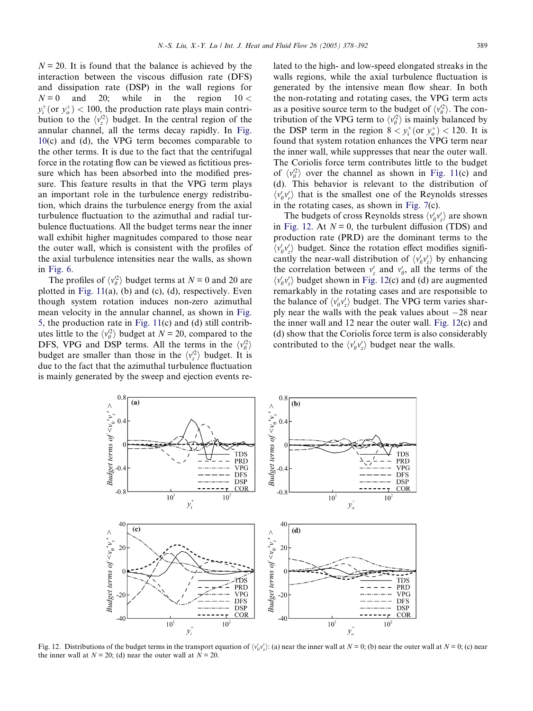$N = 20$ . It is found that the balance is achieved by the interaction between the viscous diffusion rate (DFS) and dissipation rate (DSP) in the wall regions for  $N = 0$  and 20; while in the region  $10 <$  $y_i^+$ (or  $y_o^+$ ) < 100, the production rate plays main contribution to the  $\langle v_z^2 \rangle$  budget. In the central region of the annular channel, all the terms decay rapidly. In [Fig.](#page-10-0) [10](#page-10-0)(c) and (d), the VPG term becomes comparable to the other terms. It is due to the fact that the centrifugal force in the rotating flow can be viewed as fictitious pressure which has been absorbed into the modified pressure. This feature results in that the VPG term plays an important role in the turbulence energy redistribution, which drains the turbulence energy from the axial turbulence fluctuation to the azimuthal and radial turbulence fluctuations. All the budget terms near the inner wall exhibit higher magnitudes compared to those near the outer wall, which is consistent with the profiles of the axial turbulence intensities near the walls, as shown in [Fig. 6](#page-6-0).

The profiles of  $\langle v_{\theta}^2 \rangle$  budget terms at  $N = 0$  and 20 are plotted in Fig.  $11(a)$ , (b) and (c), (d), respectively. Even though system rotation induces non-zero azimuthal mean velocity in the annular channel, as shown in [Fig.](#page-6-0) [5,](#page-6-0) the production rate in [Fig. 11\(](#page-10-0)c) and (d) still contributes little to the  $\langle v_{\theta}^2 \rangle$  budget at  $N = 20$ , compared to the DFS, VPG and DSP terms. All the terms in the  $\langle v_{\theta}^2 \rangle$ budget are smaller than those in the  $\langle v_z^2 \rangle$  budget. It is due to the fact that the azimuthal turbulence fluctuation is mainly generated by the sweep and ejection events related to the high- and low-speed elongated streaks in the walls regions, while the axial turbulence fluctuation is generated by the intensive mean flow shear. In both the non-rotating and rotating cases, the VPG term acts as a positive source term to the budget of  $\langle v_\theta^2 \rangle$ . The contribution of the VPG term to  $\langle v_{\theta}^2 \rangle$  is mainly balanced by the DSP term in the region  $8 < y_i^+$  (or  $y_o^+$ ) < 120. It is found that system rotation enhances the VPG term near the inner wall, while suppresses that near the outer wall. The Coriolis force term contributes little to the budget of  $\langle v_\theta^2 \rangle$  over the channel as shown in [Fig. 11\(](#page-10-0)c) and (d). This behavior is relevant to the distribution of  $\langle v'_p v'_r \rangle$  that is the smallest one of the Reynolds stresses in the rotating cases, as shown in [Fig. 7](#page-7-0)(c).

The budgets of cross Reynolds stress  $\langle v'_\theta v'_z \rangle$  are shown in Fig. 12. At  $N = 0$ , the turbulent diffusion (TDS) and production rate (PRD) are the dominant terms to the  $\langle v'_{\theta} v'_{z} \rangle$  budget. Since the rotation effect modifies significantly the near-wall distribution of  $\langle v'_0 v'_z \rangle$  by enhancing the correlation between  $v'_z$  and  $v'_\theta$ , all the terms of the  $\langle v'_\theta v'_z \rangle$  budget shown in Fig. 12(c) and (d) are augmented remarkably in the rotating cases and are responsible to the balance of  $\langle v'_\theta v'_z \rangle$  budget. The VPG term varies sharply near the walls with the peak values about  $-28$  near the inner wall and 12 near the outer wall. Fig. 12(c) and (d) show that the Coriolis force term is also considerably contributed to the  $\langle v'_\theta v'_z \rangle$  budget near the walls.



Fig. 12. Distributions of the budget terms in the transport equation of  $\langle v'_0 v'_z \rangle$ : (a) near the inner wall at  $N = 0$ ; (b) near the outer wall at  $N = 0$ ; (c) near the inner wall at  $N = 20$ ; (d) near the outer wall at  $N = 20$ .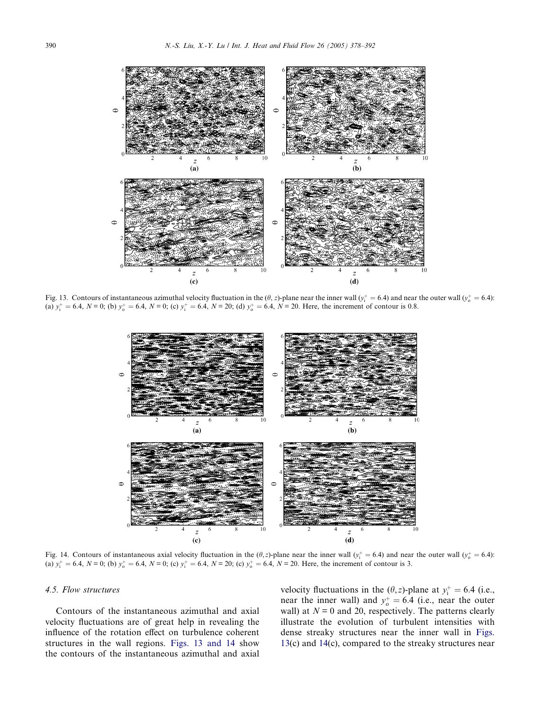<span id="page-12-0"></span>

Fig. 13. Contours of instantaneous azimuthal velocity fluctuation in the  $(\theta, z)$ -plane near the inner wall  $(y_i^+ = 6.4)$  and near the outer wall  $(y_0^+ = 6.4)$ : (a)  $y_i^+ = 6.4$ ,  $N = 0$ ; (b)  $y_0^+ = 6.4$ ,  $N = 0$ ; (c)  $y_i^+ = 6.4$ ,  $N = 20$ ; (d)  $y_0^+ = 6.4$ ,  $N = 20$ . Here, the increment of contour is 0.8.



Fig. 14. Contours of instantaneous axial velocity fluctuation in the  $(\theta, z)$ -plane near the inner wall  $(y_i^+ = 6.4)$  and near the outer wall  $(y_0^+ = 6.4)$ : (a)  $y_1^+ = 6.4$ ,  $N = 0$ ; (b)  $y_0^+ = 6.4$ ,  $N = 0$ ; (c)  $y_1^+ = 6.4$ ,  $N = 20$ ; (c)  $y_0^+ = 6.4$ ,  $N = 20$ . Here, the increment of contour is 3.

#### 4.5. Flow structures

Contours of the instantaneous azimuthal and axial velocity fluctuations are of great help in revealing the influence of the rotation effect on turbulence coherent structures in the wall regions. Figs. 13 and 14 show the contours of the instantaneous azimuthal and axial

velocity fluctuations in the  $(\theta, z)$ -plane at  $y_i^+ = 6.4$  (i.e., near the inner wall) and  $y_0^+ = 6.4$  (i.e., near the outer wall) at  $N = 0$  and 20, respectively. The patterns clearly illustrate the evolution of turbulent intensities with dense streaky structures near the inner wall in Figs. 13(c) and 14(c), compared to the streaky structures near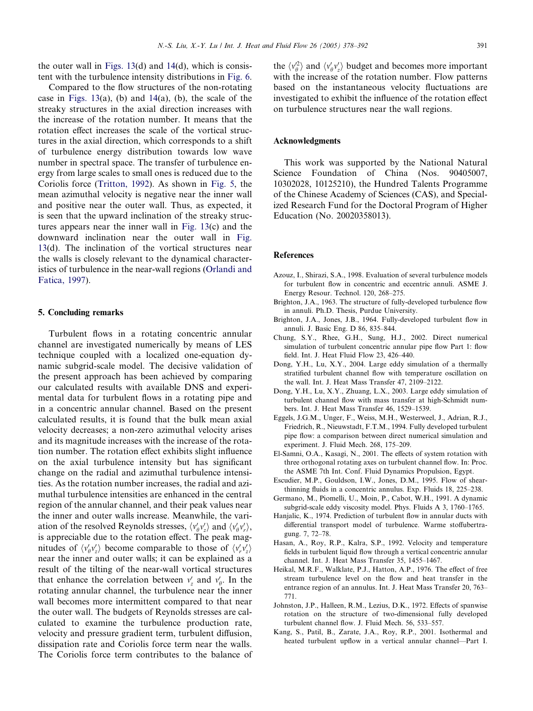<span id="page-13-0"></span>the outer wall in Figs.  $13(d)$  and  $14(d)$  $14(d)$ , which is consistent with the turbulence intensity distributions in [Fig. 6.](#page-6-0)

Compared to the flow structures of the non-rotating case in Figs.  $13(a)$ , (b) and  $14(a)$  $14(a)$ , (b), the scale of the streaky structures in the axial direction increases with the increase of the rotation number. It means that the rotation effect increases the scale of the vortical structures in the axial direction, which corresponds to a shift of turbulence energy distribution towards low wave number in spectral space. The transfer of turbulence energy from large scales to small ones is reduced due to the Coriolis force [\(Tritton, 1992\)](#page-14-0). As shown in [Fig. 5,](#page-6-0) the mean azimuthal velocity is negative near the inner wall and positive near the outer wall. Thus, as expected, it is seen that the upward inclination of the streaky structures appears near the inner wall in [Fig. 13\(](#page-12-0)c) and the downward inclination near the outer wall in [Fig.](#page-12-0) [13](#page-12-0)(d). The inclination of the vortical structures near the walls is closely relevant to the dynamical characteristics of turbulence in the near-wall regions [\(Orlandi and](#page-14-0) [Fatica, 1997\)](#page-14-0).

## 5. Concluding remarks

Turbulent flows in a rotating concentric annular channel are investigated numerically by means of LES technique coupled with a localized one-equation dynamic subgrid-scale model. The decisive validation of the present approach has been achieved by comparing our calculated results with available DNS and experimental data for turbulent flows in a rotating pipe and in a concentric annular channel. Based on the present calculated results, it is found that the bulk mean axial velocity decreases; a non-zero azimuthal velocity arises and its magnitude increases with the increase of the rotation number. The rotation effect exhibits slight influence on the axial turbulence intensity but has significant change on the radial and azimuthal turbulence intensities. As the rotation number increases, the radial and azimuthal turbulence intensities are enhanced in the central region of the annular channel, and their peak values near the inner and outer walls increase. Meanwhile, the variation of the resolved Reynolds stresses,  $\langle v'_\theta v'_z \rangle$  and  $\langle v'_\theta v'_r \rangle$ , is appreciable due to the rotation effect. The peak magnitudes of  $\langle v'_p v'_z \rangle$  become comparable to those of  $\langle v'_r v'_z \rangle$ near the inner and outer walls; it can be explained as a result of the tilting of the near-wall vortical structures that enhance the correlation between  $v'_z$  and  $v'_\theta$ . In the rotating annular channel, the turbulence near the inner wall becomes more intermittent compared to that near the outer wall. The budgets of Reynolds stresses are calculated to examine the turbulence production rate, velocity and pressure gradient term, turbulent diffusion, dissipation rate and Coriolis force term near the walls. The Coriolis force term contributes to the balance of

the  $\langle v_{\theta}^2 \rangle$  and  $\langle v_{\theta}^{\prime} v_{z}^{\prime} \rangle$  budget and becomes more important with the increase of the rotation number. Flow patterns based on the instantaneous velocity fluctuations are investigated to exhibit the influence of the rotation effect on turbulence structures near the wall regions.

## Acknowledgments

This work was supported by the National Natural Science Foundation of China (Nos. 90405007, 10302028, 10125210), the Hundred Talents Programme of the Chinese Academy of Sciences (CAS), and Specialized Research Fund for the Doctoral Program of Higher Education (No. 20020358013).

#### References

- Azouz, I., Shirazi, S.A., 1998. Evaluation of several turbulence models for turbulent flow in concentric and eccentric annuli. ASME J. Energy Resour. Technol. 120, 268–275.
- Brighton, J.A., 1963. The structure of fully-developed turbulence flow in annuli. Ph.D. Thesis, Purdue University.
- Brighton, J.A., Jones, J.B., 1964. Fully-developed turbulent flow in annuli. J. Basic Eng. D 86, 835–844.
- Chung, S.Y., Rhee, G.H., Sung, H.J., 2002. Direct numerical simulation of turbulent concentric annular pipe flow Part 1: flow field. Int. J. Heat Fluid Flow 23, 426–440.
- Dong, Y.H., Lu, X.Y., 2004. Large eddy simulation of a thermally stratified turbulent channel flow with temperature oscillation on the wall. Int. J. Heat Mass Transfer 47, 2109–2122.
- Dong, Y.H., Lu, X.Y., Zhuang, L.X., 2003. Large eddy simulation of turbulent channel flow with mass transfer at high-Schmidt numbers. Int. J. Heat Mass Transfer 46, 1529–1539.
- Eggels, J.G.M., Unger, F., Weiss, M.H., Westerweel, J., Adrian, R.J., Friedrich, R., Nieuwstadt, F.T.M., 1994. Fully developed turbulent pipe flow: a comparison between direct numerical simulation and experiment. J. Fluid Mech. 268, 175–209.
- El-Samni, O.A., Kasagi, N., 2001. The effects of system rotation with three orthogonal rotating axes on turbulent channel flow. In: Proc. the ASME 7th Int. Conf. Fluid Dynamics Propulsion, Egypt.
- Escudier, M.P., Gouldson, I.W., Jones, D.M., 1995. Flow of shearthinning fluids in a concentric annulus. Exp. Fluids 18, 225–238.
- Germano, M., Piomelli, U., Moin, P., Cabot, W.H., 1991. A dynamic subgrid-scale eddy viscosity model. Phys. Fluids A 3, 1760–1765.
- Hanjalic, K., 1974. Prediction of turbulent flow in annular ducts with differential transport model of turbulence. Warme stoffubertragung. 7, 72–78.
- Hasan, A., Roy, R.P., Kalra, S.P., 1992. Velocity and temperature fields in turbulent liquid flow through a vertical concentric annular channel. Int. J. Heat Mass Transfer 35, 1455–1467.
- Heikal, M.R.F., Walklate, P.J., Hatton, A.P., 1976. The effect of free stream turbulence level on the flow and heat transfer in the entrance region of an annulus. Int. J. Heat Mass Transfer 20, 763– 771.
- Johnston, J.P., Halleen, R.M., Lezius, D.K., 1972. Effects of spanwise rotation on the structure of two-dimensional fully developed turbulent channel flow. J. Fluid Mech. 56, 533–557.
- Kang, S., Patil, B., Zarate, J.A., Roy, R.P., 2001. Isothermal and heated turbulent upflow in a vertical annular channel—Part I.